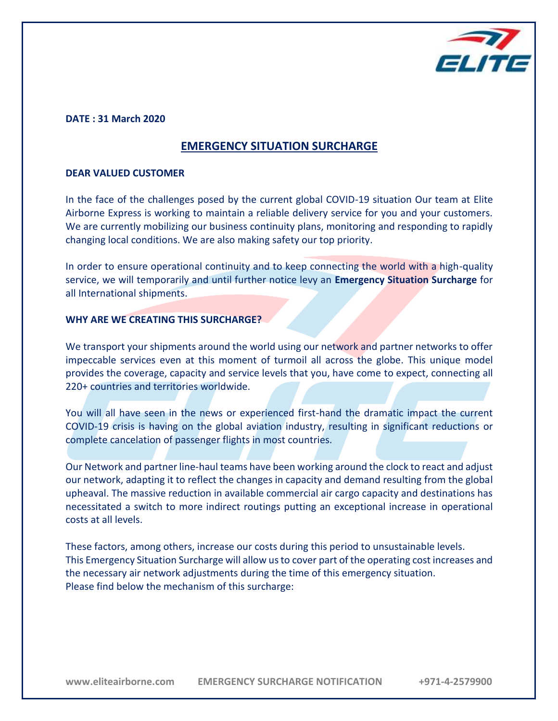

#### **DATE : 31 March 2020**

# **EMERGENCY SITUATION SURCHARGE**

#### **DEAR VALUED CUSTOMER**

In the face of the challenges posed by the current global COVID-19 situation Our team at Elite Airborne Express is working to maintain a reliable delivery service for you and your customers. We are currently mobilizing our business continuity plans, monitoring and responding to rapidly changing local conditions. We are also making safety our top priority.

In order to ensure operational continuity and to keep connecting the world with a high-quality service, we will temporarily and until further notice levy an **Emergency Situation Surcharge** for all International shipments.

#### **WHY ARE WE CREATING THIS SURCHARGE?**

We transport your shipments around the world using our network and partner networks to offer impeccable services even at this moment of turmoil all across the globe. This unique model provides the coverage, capacity and service levels that you, have come to expect, connecting all 220+ countries and territories worldwide.

You will all have seen in the news or experienced first-hand the dramatic impact the current COVID-19 crisis is having on the global aviation industry, resulting in significant reductions or complete cancelation of passenger flights in most countries.

Our Network and partner line-haul teams have been working around the clock to react and adjust our network, adapting it to reflect the changes in capacity and demand resulting from the global upheaval. The massive reduction in available commercial air cargo capacity and destinations has necessitated a switch to more indirect routings putting an exceptional increase in operational costs at all levels.

These factors, among others, increase our costs during this period to unsustainable levels. This Emergency Situation Surcharge will allow us to cover part of the operating cost increases and the necessary air network adjustments during the time of this emergency situation. Please find below the mechanism of this surcharge: